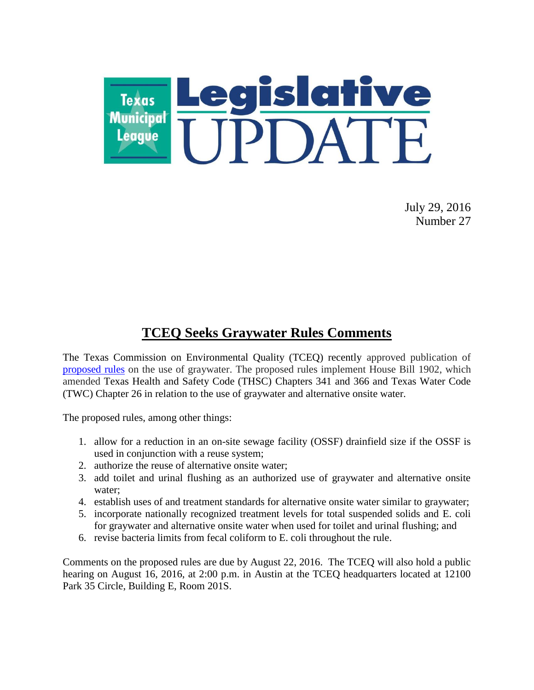

July 29, 2016 Number 27

## **TCEQ Seeks Graywater Rules Comments**

The Texas Commission on Environmental Quality (TCEQ) recently approved publication of [proposed rules](https://www.tceq.texas.gov/rules/prop.html) on the use of graywater. The proposed rules implement House Bill 1902, which amended Texas Health and Safety Code (THSC) Chapters 341 and 366 and Texas Water Code (TWC) Chapter 26 in relation to the use of graywater and alternative onsite water.

The proposed rules, among other things:

- 1. allow for a reduction in an on-site sewage facility (OSSF) drainfield size if the OSSF is used in conjunction with a reuse system;
- 2. authorize the reuse of alternative onsite water;
- 3. add toilet and urinal flushing as an authorized use of graywater and alternative onsite water;
- 4. establish uses of and treatment standards for alternative onsite water similar to graywater;
- 5. incorporate nationally recognized treatment levels for total suspended solids and E. coli for graywater and alternative onsite water when used for toilet and urinal flushing; and
- 6. revise bacteria limits from fecal coliform to E. coli throughout the rule.

Comments on the proposed rules are due by August 22, 2016. The TCEQ will also hold a public hearing on August 16, 2016, at 2:00 p.m. in Austin at the TCEQ headquarters located at 12100 Park 35 Circle, Building E, Room 201S.